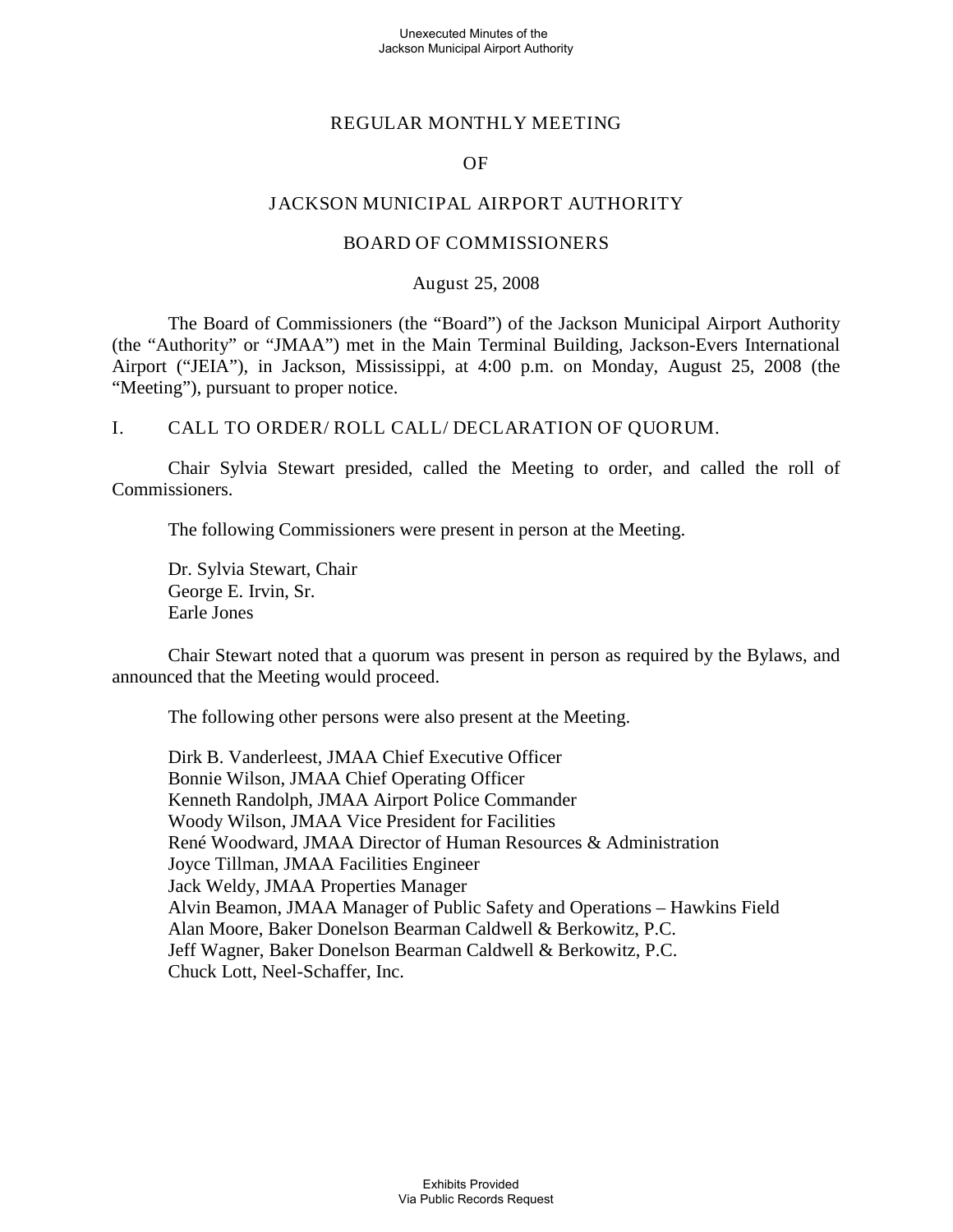### Unexecuted Minutes of the Jackson Municipal Airport Authority

### REGULAR MONTHLY MEETING

### OF

### JACKSON MUNICIPAL AIRPORT AUTHORITY

### BOARD OF COMMISSIONERS

### August 25, 2008

The Board of Commissioners (the "Board") of the Jackson Municipal Airport Authority (the "Authority" or "JMAA") met in the Main Terminal Building, Jackson-Evers International Airport ("JEIA"), in Jackson, Mississippi, at 4:00 p.m. on Monday, August 25, 2008 (the "Meeting"), pursuant to proper notice.

### I. CALL TO ORDER/ ROLL CALL/ DECLARATION OF QUORUM.

Chair Sylvia Stewart presided, called the Meeting to order, and called the roll of Commissioners.

The following Commissioners were present in person at the Meeting.

Dr. Sylvia Stewart, Chair George E. Irvin, Sr. Earle Jones

Chair Stewart noted that a quorum was present in person as required by the Bylaws, and announced that the Meeting would proceed.

The following other persons were also present at the Meeting.

Dirk B. Vanderleest, JMAA Chief Executive Officer Bonnie Wilson, JMAA Chief Operating Officer Kenneth Randolph, JMAA Airport Police Commander Woody Wilson, JMAA Vice President for Facilities René Woodward, JMAA Director of Human Resources & Administration Joyce Tillman, JMAA Facilities Engineer Jack Weldy, JMAA Properties Manager Alvin Beamon, JMAA Manager of Public Safety and Operations – Hawkins Field Alan Moore, Baker Donelson Bearman Caldwell & Berkowitz, P.C. Jeff Wagner, Baker Donelson Bearman Caldwell & Berkowitz, P.C. Chuck Lott, Neel-Schaffer, Inc.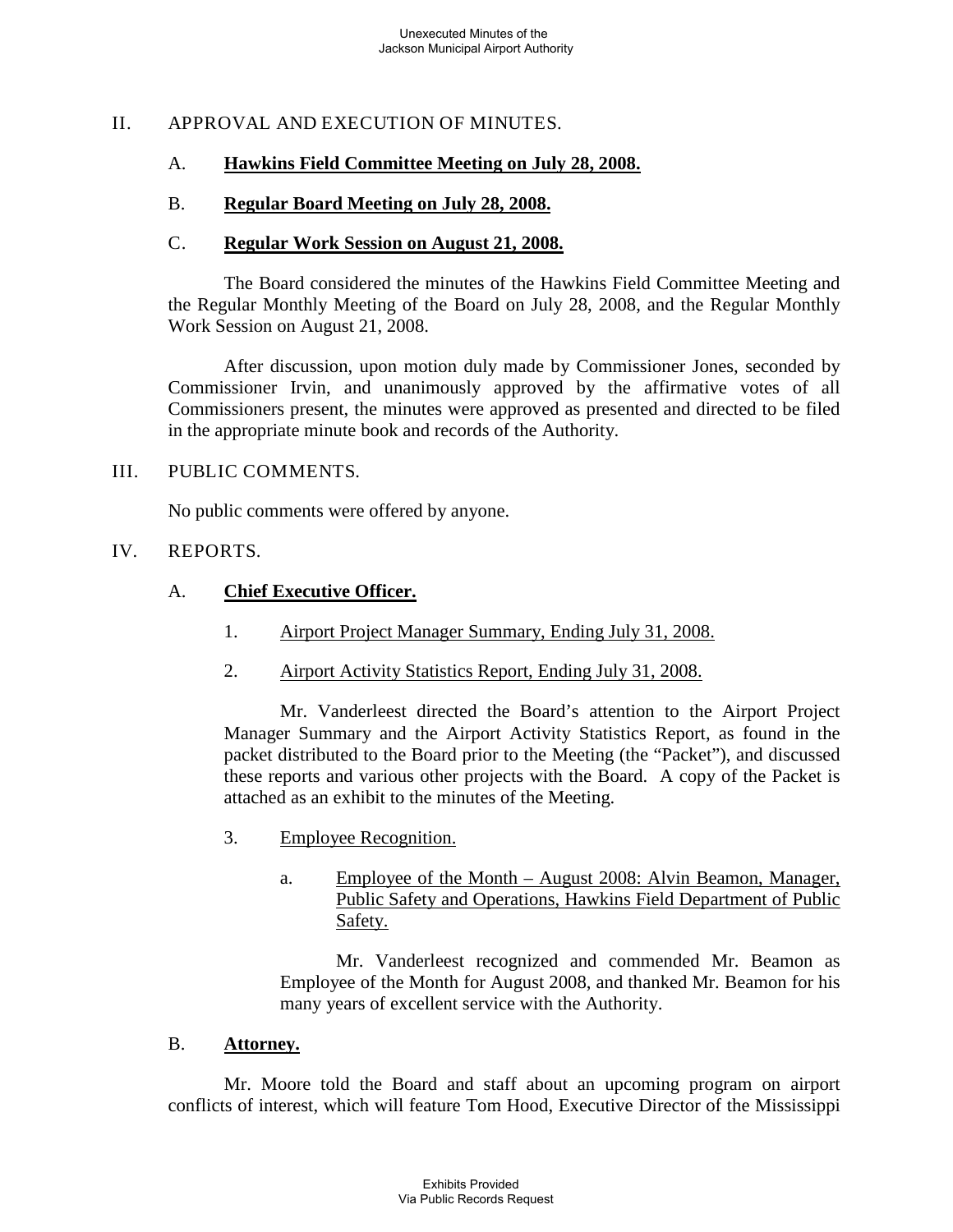## II. APPROVAL AND EXECUTION OF MINUTES.

#### A. **Hawkins Field Committee Meeting on July 28, 2008.**

#### B. **Regular Board Meeting on July 28, 2008.**

#### $C_{\cdot}$ **Regular Work Session on August 21, 2008.**

The Board considered the minutes of the Hawkins Field Committee Meeting and the Regular Monthly Meeting of the Board on July 28, 2008, and the Regular Monthly Work Session on August 21, 2008.

After discussion, upon motion duly made by Commissioner Jones, seconded by Commissioner Irvin, and unanimously approved by the affirmative votes of all Commissioners present, the minutes were approved as presented and directed to be filed in the appropriate minute book and records of the Authority.

## III. PUBLIC COMMENTS.

No public comments were offered by anyone.

### IV. REPORTS.

#### A. **Chief Executive Officer.**

- 1. Airport Project Manager Summary, Ending July 31, 2008.
- 2. Airport Activity Statistics Report, Ending July 31, 2008.

Mr. Vanderleest directed the Board's attention to the Airport Project Manager Summary and the Airport Activity Statistics Report, as found in the packet distributed to the Board prior to the Meeting (the "Packet"), and discussed these reports and various other projects with the Board. A copy of the Packet is attached as an exhibit to the minutes of the Meeting.

- 3. Employee Recognition.
	- a. Employee of the Month – August 2008: Alvin Beamon, Manager, Public Safety and Operations, Hawkins Field Department of Public Safety.

Mr. Vanderleest recognized and commended Mr. Beamon as Employee of the Month for August 2008, and thanked Mr. Beamon for his many years of excellent service with the Authority.

#### B. **Attorney.**

Mr. Moore told the Board and staff about an upcoming program on airport conflicts of interest, which will feature Tom Hood, Executive Director of the Mississippi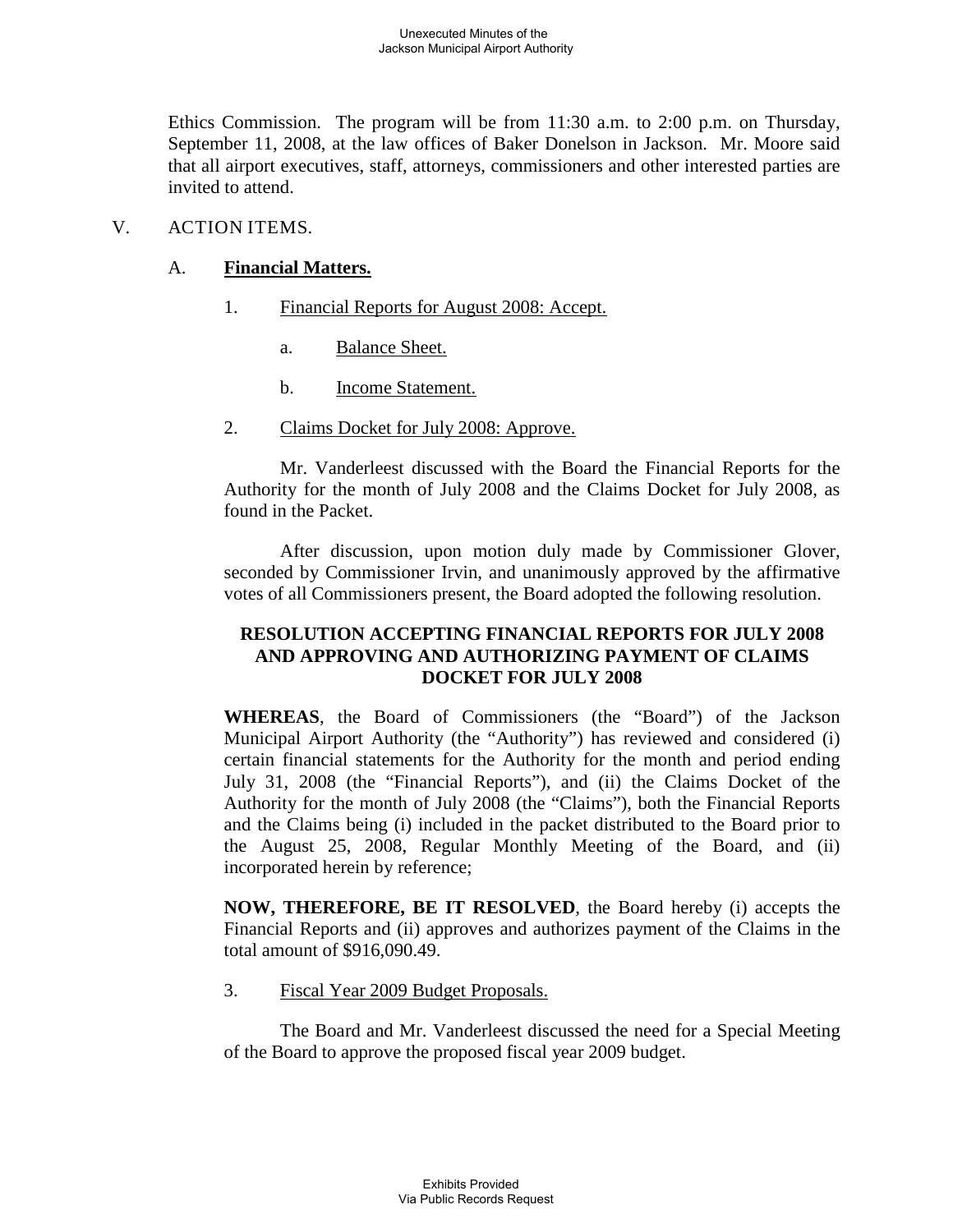Ethics Commission. The program will be from 11:30 a.m. to 2:00 p.m. on Thursday, September 11, 2008, at the law offices of Baker Donelson in Jackson. Mr. Moore said that all airport executives, staff, attorneys, commissioners and other interested parties are invited to attend.

## V. ACTION ITEMS.

#### A. **Financial Matters.**

- 1. Financial Reports for August 2008: Accept.
	- a. Balance Sheet.
	- b. Income Statement.
- 2. Claims Docket for July 2008: Approve.

Mr. Vanderleest discussed with the Board the Financial Reports for the Authority for the month of July 2008 and the Claims Docket for July 2008, as found in the Packet.

After discussion, upon motion duly made by Commissioner Glover, seconded by Commissioner Irvin, and unanimously approved by the affirmative votes of all Commissioners present, the Board adopted the following resolution.

## **RESOLUTION ACCEPTING FINANCIAL REPORTS FOR JULY 2008 AND APPROVING AND AUTHORIZING PAYMENT OF CLAIMS DOCKET FOR JULY 2008**

**WHEREAS**, the Board of Commissioners (the "Board") of the Jackson Municipal Airport Authority (the "Authority") has reviewed and considered (i) certain financial statements for the Authority for the month and period ending July 31, 2008 (the "Financial Reports"), and (ii) the Claims Docket of the Authority for the month of July 2008 (the "Claims"), both the Financial Reports and the Claims being (i) included in the packet distributed to the Board prior to the August 25, 2008, Regular Monthly Meeting of the Board, and (ii) incorporated herein by reference;

**NOW, THEREFORE, BE IT RESOLVED**, the Board hereby (i) accepts the Financial Reports and (ii) approves and authorizes payment of the Claims in the total amount of \$916,090.49.

#### 3. Fiscal Year 2009 Budget Proposals.

The Board and Mr. Vanderleest discussed the need for a Special Meeting of the Board to approve the proposed fiscal year 2009 budget.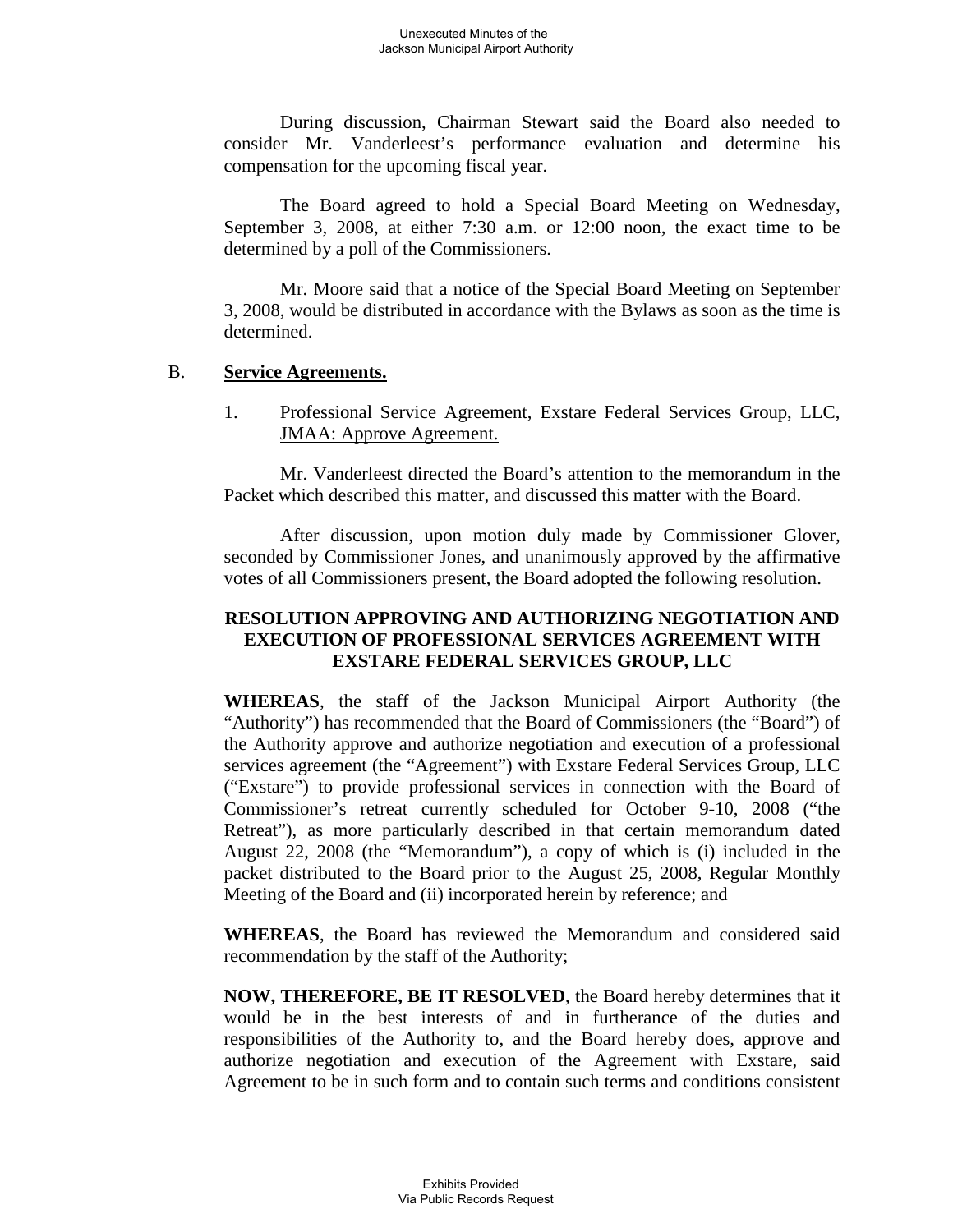During discussion, Chairman Stewart said the Board also needed to consider Mr. Vanderleest's performance evaluation and determine his compensation for the upcoming fiscal year.

The Board agreed to hold a Special Board Meeting on Wednesday, September 3, 2008, at either 7:30 a.m. or 12:00 noon, the exact time to be determined by a poll of the Commissioners.

Mr. Moore said that a notice of the Special Board Meeting on September 3, 2008, would be distributed in accordance with the Bylaws as soon as the time is determined.

#### B. **Service Agreements.**

1. Professional Service Agreement, Exstare Federal Services Group, LLC, JMAA: Approve Agreement.

Mr. Vanderleest directed the Board's attention to the memorandum in the Packet which described this matter, and discussed this matter with the Board.

After discussion, upon motion duly made by Commissioner Glover, seconded by Commissioner Jones, and unanimously approved by the affirmative votes of all Commissioners present, the Board adopted the following resolution.

## **RESOLUTION APPROVING AND AUTHORIZING NEGOTIATION AND EXECUTION OF PROFESSIONAL SERVICES AGREEMENT WITH EXSTARE FEDERAL SERVICES GROUP, LLC**

**WHEREAS**, the staff of the Jackson Municipal Airport Authority (the "Authority") has recommended that the Board of Commissioners (the "Board") of the Authority approve and authorize negotiation and execution of a professional services agreement (the "Agreement") with Exstare Federal Services Group, LLC ("Exstare") to provide professional services in connection with the Board of Commissioner's retreat currently scheduled for October 9-10, 2008 ("the Retreat"), as more particularly described in that certain memorandum dated August 22, 2008 (the "Memorandum"), a copy of which is (i) included in the packet distributed to the Board prior to the August 25, 2008, Regular Monthly Meeting of the Board and (ii) incorporated herein by reference; and

**WHEREAS**, the Board has reviewed the Memorandum and considered said recommendation by the staff of the Authority;

**NOW, THEREFORE, BE IT RESOLVED**, the Board hereby determines that it would be in the best interests of and in furtherance of the duties and responsibilities of the Authority to, and the Board hereby does, approve and authorize negotiation and execution of the Agreement with Exstare, said Agreement to be in such form and to contain such terms and conditions consistent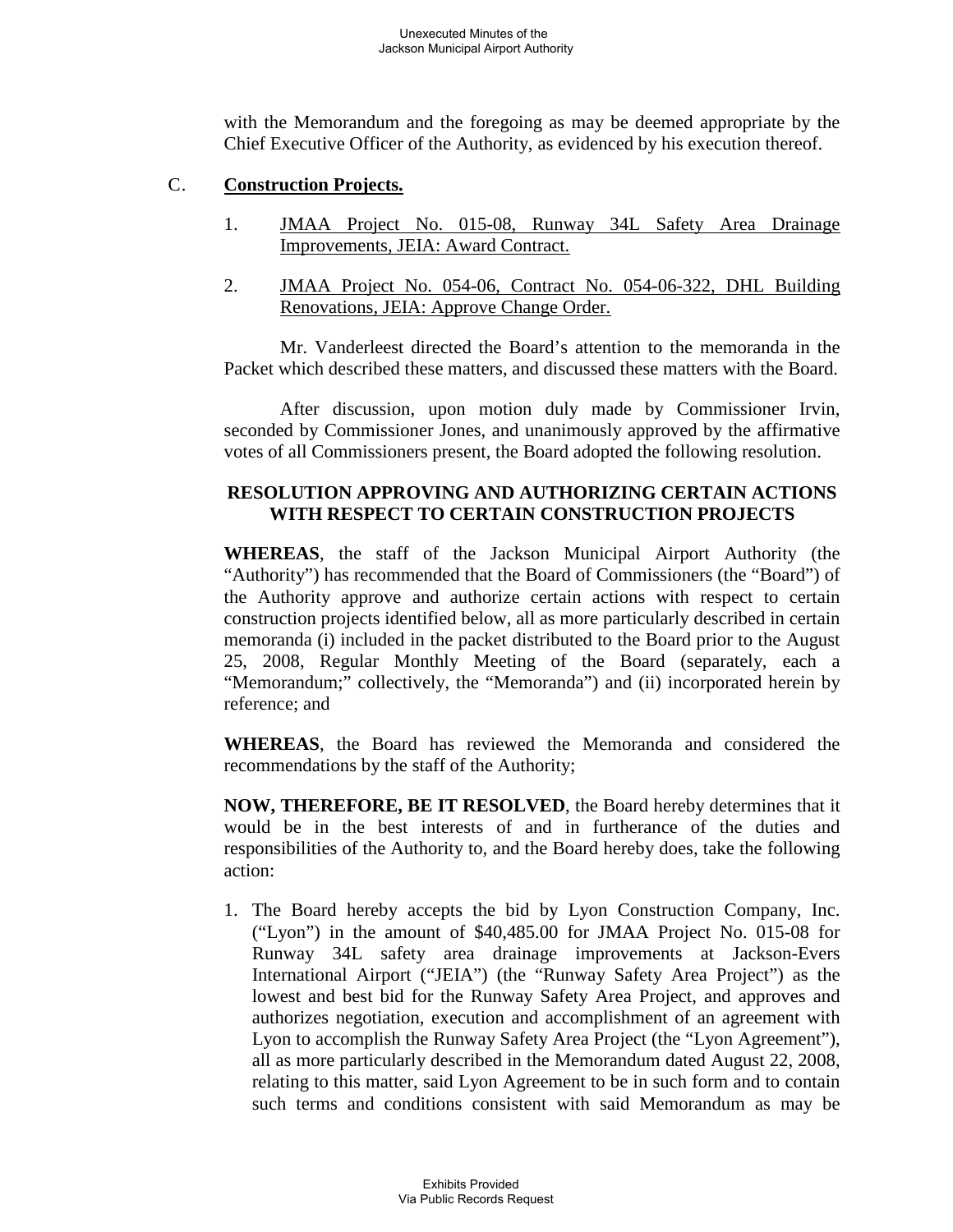with the Memorandum and the foregoing as may be deemed appropriate by the Chief Executive Officer of the Authority, as evidenced by his execution thereof.

#### C. **Construction Projects.**

- 1. JMAA Project No. 015-08, Runway 34L Safety Area Drainage Improvements, JEIA: Award Contract.
- 2. JMAA Project No. 054-06, Contract No. 054-06-322, DHL Building Renovations, JEIA: Approve Change Order.

Mr. Vanderleest directed the Board's attention to the memoranda in the Packet which described these matters, and discussed these matters with the Board.

After discussion, upon motion duly made by Commissioner Irvin, seconded by Commissioner Jones, and unanimously approved by the affirmative votes of all Commissioners present, the Board adopted the following resolution.

# **RESOLUTION APPROVING AND AUTHORIZING CERTAIN ACTIONS WITH RESPECT TO CERTAIN CONSTRUCTION PROJECTS**

**WHEREAS**, the staff of the Jackson Municipal Airport Authority (the "Authority") has recommended that the Board of Commissioners (the "Board") of the Authority approve and authorize certain actions with respect to certain construction projects identified below, all as more particularly described in certain memoranda (i) included in the packet distributed to the Board prior to the August 25, 2008, Regular Monthly Meeting of the Board (separately, each a "Memorandum;" collectively, the "Memoranda") and (ii) incorporated herein by reference; and

**WHEREAS**, the Board has reviewed the Memoranda and considered the recommendations by the staff of the Authority;

**NOW, THEREFORE, BE IT RESOLVED**, the Board hereby determines that it would be in the best interests of and in furtherance of the duties and responsibilities of the Authority to, and the Board hereby does, take the following action:

1. The Board hereby accepts the bid by Lyon Construction Company, Inc. ("Lyon") in the amount of \$40,485.00 for JMAA Project No. 015-08 for Runway 34L safety area drainage improvements at Jackson-Evers International Airport ("JEIA") (the "Runway Safety Area Project") as the lowest and best bid for the Runway Safety Area Project, and approves and authorizes negotiation, execution and accomplishment of an agreement with Lyon to accomplish the Runway Safety Area Project (the "Lyon Agreement"), all as more particularly described in the Memorandum dated August 22, 2008, relating to this matter, said Lyon Agreement to be in such form and to contain such terms and conditions consistent with said Memorandum as may be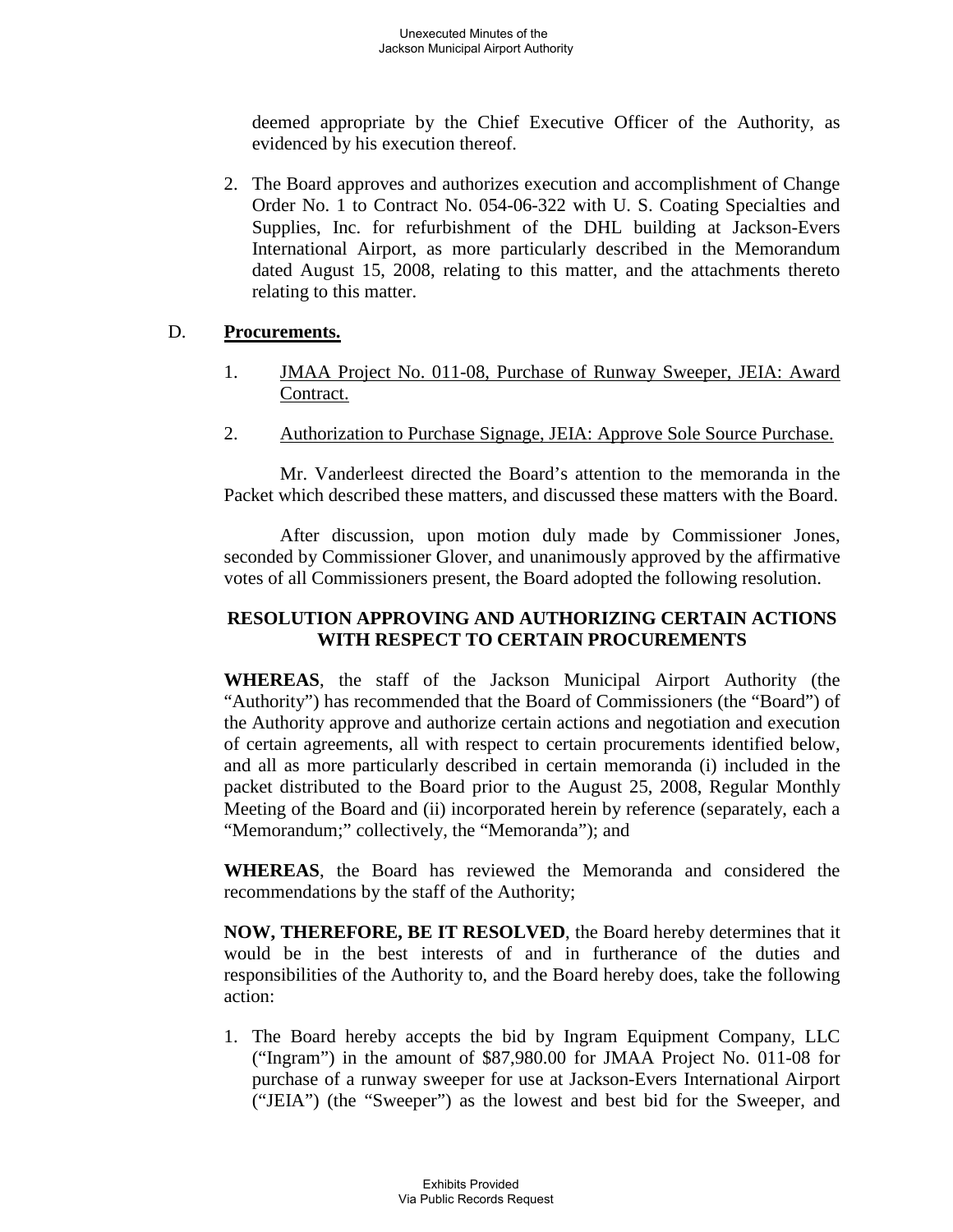deemed appropriate by the Chief Executive Officer of the Authority, as evidenced by his execution thereof.

2. The Board approves and authorizes execution and accomplishment of Change Order No. 1 to Contract No. 054-06-322 with U. S. Coating Specialties and Supplies, Inc. for refurbishment of the DHL building at Jackson-Evers International Airport, as more particularly described in the Memorandum dated August 15, 2008, relating to this matter, and the attachments thereto relating to this matter.

#### D. **Procurements.**

- 1. JMAA Project No. 011-08, Purchase of Runway Sweeper, JEIA: Award Contract.
- 2. Authorization to Purchase Signage, JEIA: Approve Sole Source Purchase.

Mr. Vanderleest directed the Board's attention to the memoranda in the Packet which described these matters, and discussed these matters with the Board.

After discussion, upon motion duly made by Commissioner Jones, seconded by Commissioner Glover, and unanimously approved by the affirmative votes of all Commissioners present, the Board adopted the following resolution.

## **RESOLUTION APPROVING AND AUTHORIZING CERTAIN ACTIONS WITH RESPECT TO CERTAIN PROCUREMENTS**

**WHEREAS**, the staff of the Jackson Municipal Airport Authority (the "Authority") has recommended that the Board of Commissioners (the "Board") of the Authority approve and authorize certain actions and negotiation and execution of certain agreements, all with respect to certain procurements identified below, and all as more particularly described in certain memoranda (i) included in the packet distributed to the Board prior to the August 25, 2008, Regular Monthly Meeting of the Board and (ii) incorporated herein by reference (separately, each a "Memorandum;" collectively, the "Memoranda"); and

**WHEREAS**, the Board has reviewed the Memoranda and considered the recommendations by the staff of the Authority;

**NOW, THEREFORE, BE IT RESOLVED**, the Board hereby determines that it would be in the best interests of and in furtherance of the duties and responsibilities of the Authority to, and the Board hereby does, take the following action:

1. The Board hereby accepts the bid by Ingram Equipment Company, LLC ("Ingram") in the amount of \$87,980.00 for JMAA Project No. 011-08 for purchase of a runway sweeper for use at Jackson-Evers International Airport ("JEIA") (the "Sweeper") as the lowest and best bid for the Sweeper, and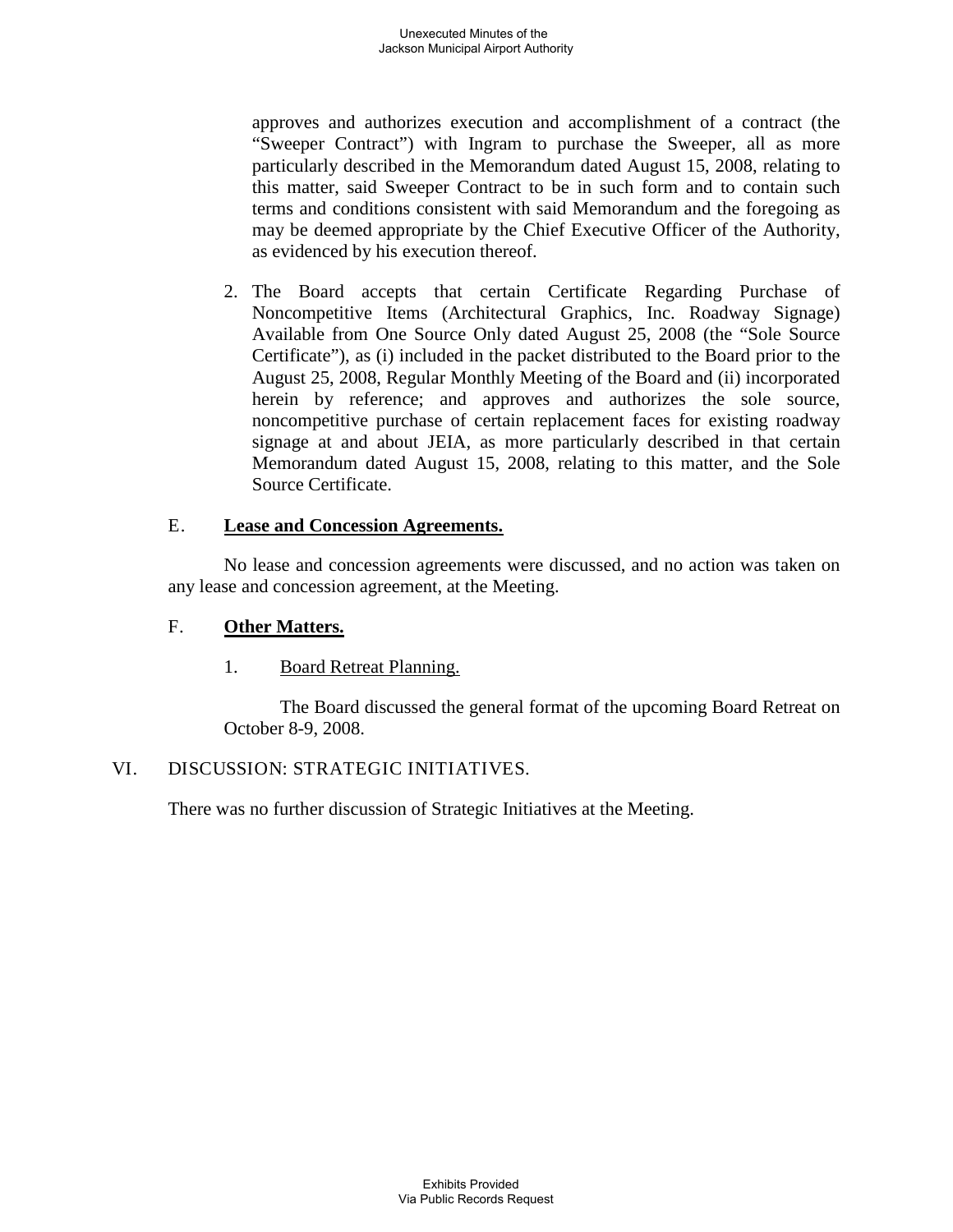approves and authorizes execution and accomplishment of a contract (the "Sweeper Contract") with Ingram to purchase the Sweeper, all as more particularly described in the Memorandum dated August 15, 2008, relating to this matter, said Sweeper Contract to be in such form and to contain such terms and conditions consistent with said Memorandum and the foregoing as may be deemed appropriate by the Chief Executive Officer of the Authority, as evidenced by his execution thereof.

2. The Board accepts that certain Certificate Regarding Purchase of Noncompetitive Items (Architectural Graphics, Inc. Roadway Signage) Available from One Source Only dated August 25, 2008 (the "Sole Source Certificate"), as (i) included in the packet distributed to the Board prior to the August 25, 2008, Regular Monthly Meeting of the Board and (ii) incorporated herein by reference; and approves and authorizes the sole source, noncompetitive purchase of certain replacement faces for existing roadway signage at and about JEIA, as more particularly described in that certain Memorandum dated August 15, 2008, relating to this matter, and the Sole Source Certificate.

#### E. **Lease and Concession Agreements.**

No lease and concession agreements were discussed, and no action was taken on any lease and concession agreement, at the Meeting.

#### F. **Other Matters.**

#### 1. Board Retreat Planning.

The Board discussed the general format of the upcoming Board Retreat on October 8-9, 2008.

## VI. DISCUSSION: STRATEGIC INITIATIVES.

There was no further discussion of Strategic Initiatives at the Meeting.